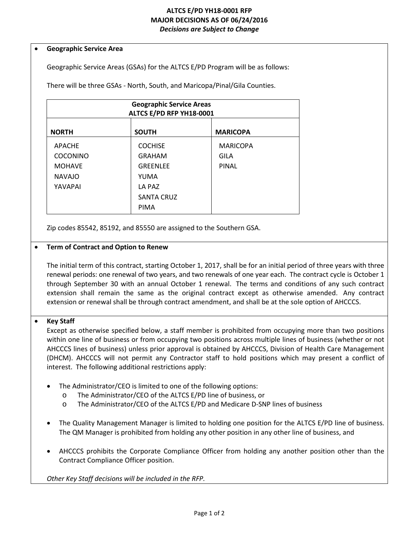## **ALTCS E/PD YH18-0001 RFP MAJOR DECISIONS AS OF 06/24/2016** *Decisions are Subject to Change*

#### • **Geographic Service Area**

Geographic Service Areas (GSAs) for the ALTCS E/PD Program will be as follows:

There will be three GSAs - North, South, and Maricopa/Pinal/Gila Counties.

| <b>Geographic Service Areas</b><br>ALTCS E/PD RFP YH18-0001 |                   |                 |  |
|-------------------------------------------------------------|-------------------|-----------------|--|
| <b>NORTH</b>                                                | <b>SOUTH</b>      | <b>MARICOPA</b> |  |
| <b>APACHE</b>                                               | <b>COCHISE</b>    | <b>MARICOPA</b> |  |
| <b>COCONINO</b>                                             | <b>GRAHAM</b>     | GILA            |  |
| <b>MOHAVE</b>                                               | <b>GRFFNLFF</b>   | PINAL           |  |
| <b>NAVAJO</b>                                               | YUMA              |                 |  |
| YAVAPAI                                                     | LA PAZ            |                 |  |
|                                                             | <b>SANTA CRUZ</b> |                 |  |
|                                                             | <b>PIMA</b>       |                 |  |

Zip codes 85542, 85192, and 85550 are assigned to the Southern GSA.

### • **Term of Contract and Option to Renew**

The initial term of this contract, starting October 1, 2017, shall be for an initial period of three years with three renewal periods: one renewal of two years, and two renewals of one year each. The contract cycle is October 1 through September 30 with an annual October 1 renewal. The terms and conditions of any such contract extension shall remain the same as the original contract except as otherwise amended. Any contract extension or renewal shall be through contract amendment, and shall be at the sole option of AHCCCS.

# • **Key Staff**

Except as otherwise specified below, a staff member is prohibited from occupying more than two positions within one line of business or from occupying two positions across multiple lines of business (whether or not AHCCCS lines of business) unless prior approval is obtained by AHCCCS, Division of Health Care Management (DHCM). AHCCCS will not permit any Contractor staff to hold positions which may present a conflict of interest. The following additional restrictions apply:

- The Administrator/CEO is limited to one of the following options:
	- o The Administrator/CEO of the ALTCS E/PD line of business, or
	- o The Administrator/CEO of the ALTCS E/PD and Medicare D-SNP lines of business
- The Quality Management Manager is limited to holding one position for the ALTCS E/PD line of business. The QM Manager is prohibited from holding any other position in any other line of business, and
- AHCCCS prohibits the Corporate Compliance Officer from holding any another position other than the Contract Compliance Officer position.

*Other Key Staff decisions will be included in the RFP.*